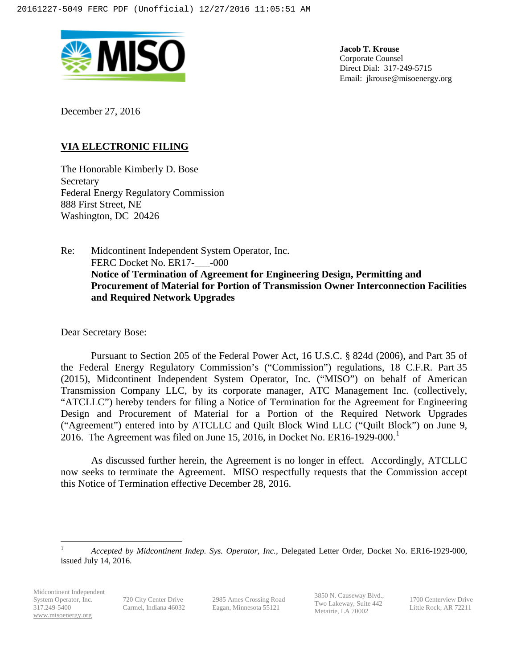

**Jacob T. Krouse** Corporate Counsel Direct Dial: 317-249-5715 Email: jkrouse@misoenergy.org

December 27, 2016

# **VIA ELECTRONIC FILING**

The Honorable Kimberly D. Bose Secretary Federal Energy Regulatory Commission 888 First Street, NE Washington, DC 20426

Re: Midcontinent Independent System Operator, Inc. FERC Docket No. ER17-2000 **Notice of Termination of Agreement for Engineering Design, Permitting and Procurement of Material for Portion of Transmission Owner Interconnection Facilities and Required Network Upgrades**

Dear Secretary Bose:

Pursuant to Section 205 of the Federal Power Act, 16 U.S.C. § 824d (2006), and Part 35 of the Federal Energy Regulatory Commission's ("Commission") regulations, 18 C.F.R. Part 35 (2015), Midcontinent Independent System Operator, Inc. ("MISO") on behalf of American Transmission Company LLC, by its corporate manager, ATC Management Inc. (collectively, "ATCLLC") hereby tenders for filing a Notice of Termination for the Agreement for Engineering Design and Procurement of Material for a Portion of the Required Network Upgrades ("Agreement") entered into by ATCLLC and Quilt Block Wind LLC ("Quilt Block") on June 9, 20[1](#page-0-0)6. The Agreement was filed on June 15, 2016, in Docket No. ER16-1929-000.<sup>1</sup>

As discussed further herein, the Agreement is no longer in effect. Accordingly, ATCLLC now seeks to terminate the Agreement. MISO respectfully requests that the Commission accept this Notice of Termination effective December 28, 2016.

2985 Ames Crossing Road Eagan, Minnesota 55121

3850 N. Causeway Blvd., Two Lakeway, Suite 442 Metairie, LA 70002

1700 Centerview Drive Little Rock, AR 72211

<span id="page-0-0"></span> <sup>1</sup> *Accepted by Midcontinent Indep. Sys. Operator, Inc.,* Delegated Letter Order, Docket No. ER16-1929-000, issued July 14, 2016.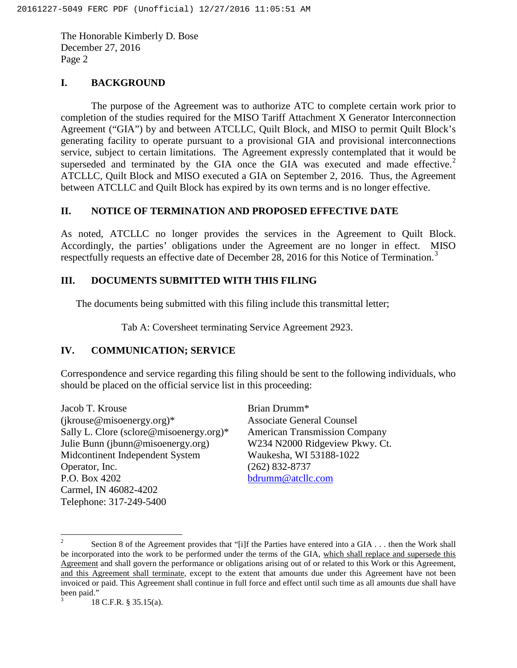The Honorable Kimberly D. Bose December 27, 2016 Page 2

### **I. BACKGROUND**

The purpose of the Agreement was to authorize ATC to complete certain work prior to completion of the studies required for the MISO Tariff Attachment X Generator Interconnection Agreement ("GIA") by and between ATCLLC, Quilt Block, and MISO to permit Quilt Block's generating facility to operate pursuant to a provisional GIA and provisional interconnections service, subject to certain limitations. The Agreement expressly contemplated that it would be superseded and terminated by the GIA once the GIA was executed and made effective.<sup>[2](#page-1-0)</sup> ATCLLC, Quilt Block and MISO executed a GIA on September 2, 2016. Thus, the Agreement between ATCLLC and Quilt Block has expired by its own terms and is no longer effective.

## **II. NOTICE OF TERMINATION AND PROPOSED EFFECTIVE DATE**

As noted, ATCLLC no longer provides the services in the Agreement to Quilt Block. Accordingly, the parties' obligations under the Agreement are no longer in effect. MISO respectfully requests an effective date of December 28, 2016 for this Notice of Termination.<sup>[3](#page-1-1)</sup>

#### **III. DOCUMENTS SUBMITTED WITH THIS FILING**

The documents being submitted with this filing include this transmittal letter;

Tab A: Coversheet terminating Service Agreement 2923.

#### **IV. COMMUNICATION; SERVICE**

Correspondence and service regarding this filing should be sent to the following individuals, who should be placed on the official service list in this proceeding:

Jacob T. Krouse (jkrouse@misoenergy.org)\* Sally L. Clore (sclore@misoenergy.org)\* Julie Bunn (jbunn@misoenergy.org) Midcontinent Independent System Operator, Inc. P.O. Box 4202 Carmel, IN 46082-4202 Telephone: 317-249-5400

Brian Drumm\* Associate General Counsel American Transmission Company W234 N2000 Ridgeview Pkwy. Ct. Waukesha, WI 53188-1022 (262) 832-8737 [bdrumm@atcllc.com](mailto:bdrumm@atcllc.com)

<span id="page-1-0"></span><sup>&</sup>lt;sup>2</sup> Section 8 of the Agreement provides that "[i]f the Parties have entered into a GIA . . . then the Work shall be incorporated into the work to be performed under the terms of the GIA, which shall replace and supersede this Agreement and shall govern the performance or obligations arising out of or related to this Work or this Agreement, and this Agreement shall terminate, except to the extent that amounts due under this Agreement have not been invoiced or paid. This Agreement shall continue in full force and effect until such time as all amounts due shall have been paid."

<span id="page-1-1"></span><sup>3</sup> 18 C.F.R. § 35.15(a).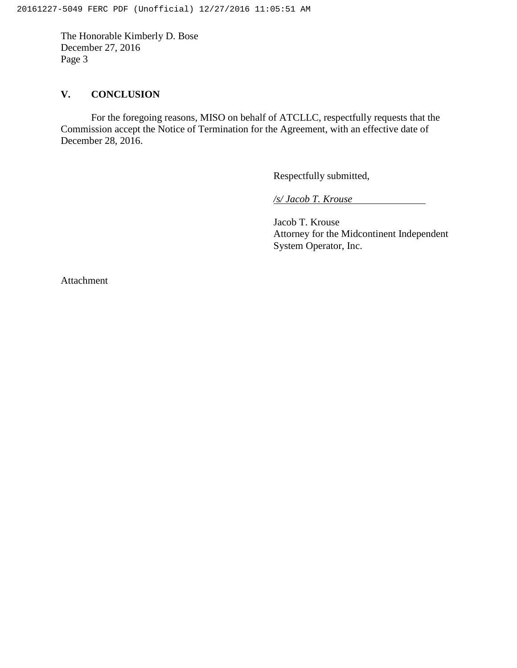The Honorable Kimberly D. Bose December 27, 2016 Page 3

# **V. CONCLUSION**

For the foregoing reasons, MISO on behalf of ATCLLC, respectfully requests that the Commission accept the Notice of Termination for the Agreement, with an effective date of December 28, 2016.

Respectfully submitted,

*/s/ Jacob T. Krouse*

Jacob T. Krouse Attorney for the Midcontinent Independent System Operator, Inc.

Attachment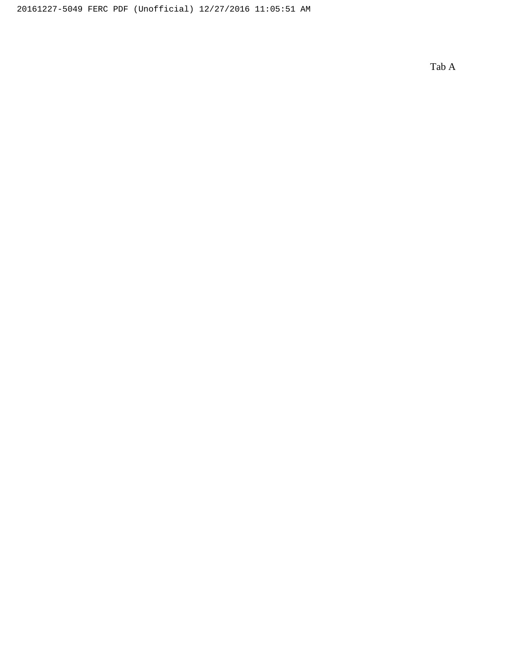Tab A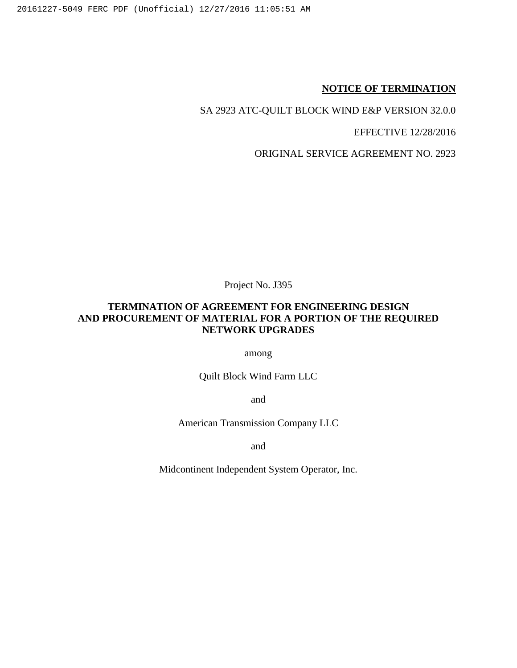### **NOTICE OF TERMINATION**

SA 2923 ATC-QUILT BLOCK WIND E&P VERSION 32.0.0

EFFECTIVE 12/28/2016

ORIGINAL SERVICE AGREEMENT NO. 2923

Project No. J395

# **TERMINATION OF AGREEMENT FOR ENGINEERING DESIGN AND PROCUREMENT OF MATERIAL FOR A PORTION OF THE REQUIRED NETWORK UPGRADES**

among

Quilt Block Wind Farm LLC

and

American Transmission Company LLC

and

Midcontinent Independent System Operator, Inc.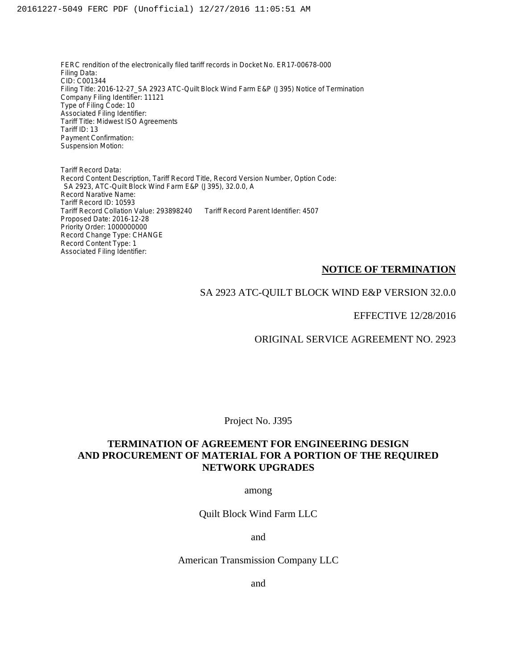FERC rendition of the electronically filed tariff records in Docket No. ER17-00678-000 Filing Data: CID: C001344 Filing Title: 2016-12-27\_SA 2923 ATC-Quilt Block Wind Farm E&P (J395) Notice of Termination Company Filing Identifier: 11121 Type of Filing Code: 10 Associated Filing Identifier: Tariff Title: Midwest ISO Agreements Tariff ID: 13 Payment Confirmation: Suspension Motion:

Tariff Record Data: Record Content Description, Tariff Record Title, Record Version Number, Option Code: SA 2923, ATC-Quilt Block Wind Farm E&P (J395), 32.0.0, A Record Narative Name: Tariff Record ID: 10593 Tariff Record Collation Value: 293898240 Tariff Record Parent Identifier: 4507 Proposed Date: 2016-12-28 Priority Order: 1000000000 Record Change Type: CHANGE Record Content Type: 1 Associated Filing Identifier:

#### **NOTICE OF TERMINATION**

#### SA 2923 ATC-QUILT BLOCK WIND E&P VERSION 32.0.0

EFFECTIVE 12/28/2016

ORIGINAL SERVICE AGREEMENT NO. 2923

Project No. J395

## **TERMINATION OF AGREEMENT FOR ENGINEERING DESIGN AND PROCUREMENT OF MATERIAL FOR A PORTION OF THE REQUIRED NETWORK UPGRADES**

among

Quilt Block Wind Farm LLC

and

American Transmission Company LLC

and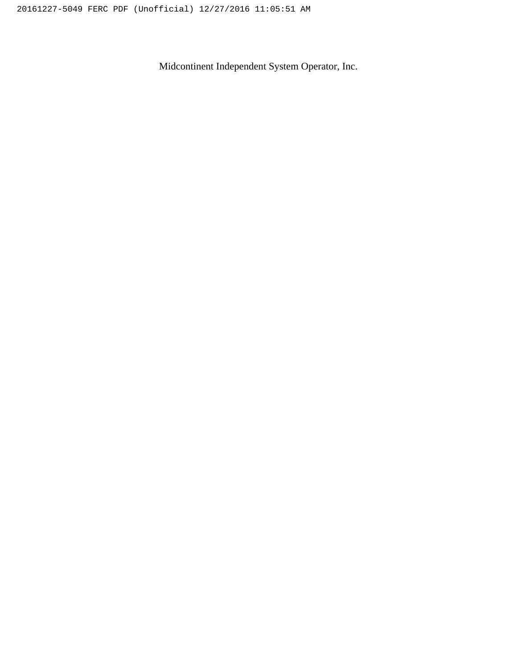Midcontinent Independent System Operator, Inc.